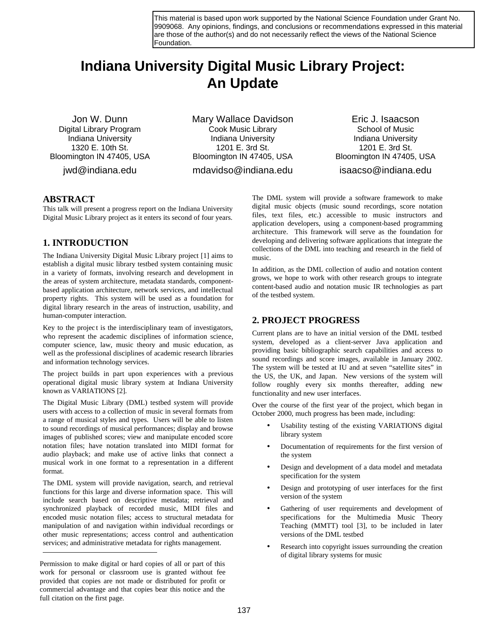This material is based upon work supported by the National Science Foundation under Grant No. 9909068. Any opinions, findings, and conclusions or recommendations expressed in this material are those of the author(s) and do not necessarily reflect the views of the National Science Foundation.

# **Indiana University Digital Music Library Project: An Update**

Jon W. Dunn Digital Library Program Indiana University 1320 E. 10th St. Bloomington IN 47405, USA

jwd@indiana.edu

Mary Wallace Davidson Cook Music Library Indiana University 1201 E. 3rd St. Bloomington IN 47405, USA mdavidso@indiana.edu

Eric J. Isaacson School of Music Indiana University 1201 E. 3rd St. Bloomington IN 47405, USA isaacso@indiana.edu

#### **ABSTRACT**

This talk will present a progress report on the Indiana University Digital Music Library project as it enters its second of four years.

## **1. INTRODUCTION**

The Indiana University Digital Music Library project [1] aims to establish a digital music library testbed system containing music in a variety of formats, involving research and development in the areas of system architecture, metadata standards, componentbased application architecture, network services, and intellectual property rights. This system will be used as a foundation for digital library research in the areas of instruction, usability, and human-computer interaction.

Key to the project is the interdisciplinary team of investigators, who represent the academic disciplines of information science, computer science, law, music theory and music education, as well as the professional disciplines of academic research libraries and information technology services.

The project builds in part upon experiences with a previous operational digital music library system at Indiana University known as VARIATIONS [2].

The Digital Music Library (DML) testbed system will provide users with access to a collection of music in several formats from a range of musical styles and types. Users will be able to listen to sound recordings of musical performances; display and browse images of published scores; view and manipulate encoded score notation files; have notation translated into MIDI format for audio playback; and make use of active links that connect a musical work in one format to a representation in a different format.

The DML system will provide navigation, search, and retrieval functions for this large and diverse information space. This will include search based on descriptive metadata; retrieval and synchronized playback of recorded music, MIDI files and encoded music notation files; access to structural metadata for manipulation of and navigation within individual recordings or other music representations; access control and authentication services; and administrative metadata for rights management.

 $\overline{a}$ 

The DML system will provide a software framework to make digital music objects (music sound recordings, score notation files, text files, etc.) accessible to music instructors and application developers, using a component-based programming architecture. This framework will serve as the foundation for developing and delivering software applications that integrate the collections of the DML into teaching and research in the field of music.

In addition, as the DML collection of audio and notation content grows, we hope to work with other research groups to integrate content-based audio and notation music IR technologies as part of the testbed system.

## **2. PROJECT PROGRESS**

Current plans are to have an initial version of the DML testbed system, developed as a client-server Java application and providing basic bibliographic search capabilities and access to sound recordings and score images, available in January 2002. The system will be tested at IU and at seven "satellite sites" in the US, the UK, and Japan. New versions of the system will follow roughly every six months thereafter, adding new functionality and new user interfaces.

Over the course of the first year of the project, which began in October 2000, much progress has been made, including:

- Usability testing of the existing VARIATIONS digital library system
- Documentation of requirements for the first version of the system
- Design and development of a data model and metadata specification for the system
- Design and prototyping of user interfaces for the first version of the system
- Gathering of user requirements and development of specifications for the Multimedia Music Theory Teaching (MMTT) tool [3], to be included in later versions of the DML testbed
- Research into copyright issues surrounding the creation of digital library systems for music

Permission to make digital or hard copies of all or part of this work for personal or classroom use is granted without fee provided that copies are not made or distributed for profit or commercial advantage and that copies bear this notice and the full citation on the first page.